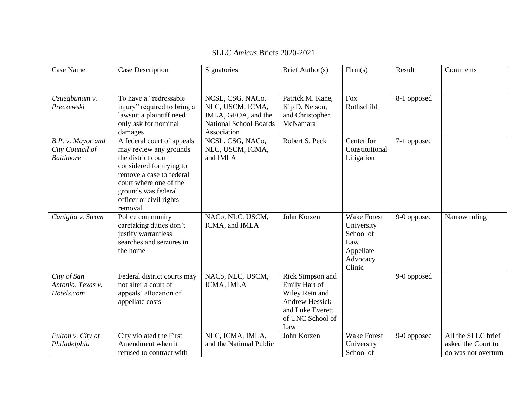| Case Name                                                | Case Description                                                                                                                                                                                                          | Signatories                                                                                                 | Brief Author(s)                                                                                                             | Firm(s)                                                                                 | Result      | Comments                                                        |
|----------------------------------------------------------|---------------------------------------------------------------------------------------------------------------------------------------------------------------------------------------------------------------------------|-------------------------------------------------------------------------------------------------------------|-----------------------------------------------------------------------------------------------------------------------------|-----------------------------------------------------------------------------------------|-------------|-----------------------------------------------------------------|
| Uzuegbunam v.<br>Preczewski                              | To have a "redressable"<br>injury" required to bring a<br>lawsuit a plaintiff need<br>only ask for nominal<br>damages                                                                                                     | NCSL, CSG, NACo,<br>NLC, USCM, ICMA,<br>IMLA, GFOA, and the<br><b>National School Boards</b><br>Association | Patrick M. Kane,<br>Kip D. Nelson,<br>and Christopher<br>McNamara                                                           | <b>Fox</b><br>Rothschild                                                                | 8-1 opposed |                                                                 |
| B.P. v. Mayor and<br>City Council of<br><b>Baltimore</b> | A federal court of appeals<br>may review any grounds<br>the district court<br>considered for trying to<br>remove a case to federal<br>court where one of the<br>grounds was federal<br>officer or civil rights<br>removal | NCSL, CSG, NACo,<br>NLC, USCM, ICMA,<br>and IMLA                                                            | Robert S. Peck                                                                                                              | Center for<br>Constitutional<br>Litigation                                              | 7-1 opposed |                                                                 |
| Caniglia v. Strom                                        | Police community<br>caretaking duties don't<br>justify warrantless<br>searches and seizures in<br>the home                                                                                                                | NACo, NLC, USCM,<br>ICMA, and IMLA                                                                          | John Korzen                                                                                                                 | <b>Wake Forest</b><br>University<br>School of<br>Law<br>Appellate<br>Advocacy<br>Clinic | 9-0 opposed | Narrow ruling                                                   |
| City of San<br>Antonio, Texas v.<br>Hotels.com           | Federal district courts may<br>not alter a court of<br>appeals' allocation of<br>appellate costs                                                                                                                          | NACo, NLC, USCM,<br>ICMA, IMLA                                                                              | Rick Simpson and<br>Emily Hart of<br>Wiley Rein and<br><b>Andrew Hessick</b><br>and Luke Everett<br>of UNC School of<br>Law |                                                                                         | 9-0 opposed |                                                                 |
| Fulton v. City of<br>Philadelphia                        | City violated the First<br>Amendment when it<br>refused to contract with                                                                                                                                                  | NLC, ICMA, IMLA,<br>and the National Public                                                                 | John Korzen                                                                                                                 | <b>Wake Forest</b><br>University<br>School of                                           | 9-0 opposed | All the SLLC brief<br>asked the Court to<br>do was not overturn |

## SLLC *Amicus* Briefs 2020-2021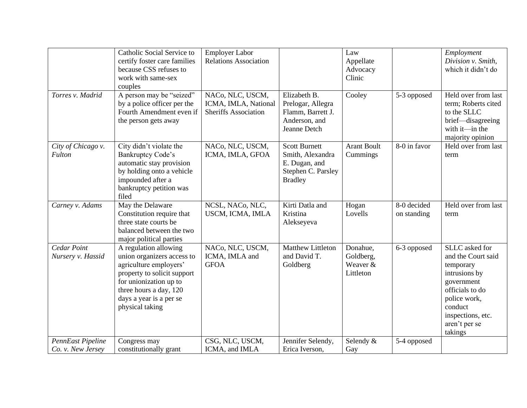|                                        | Catholic Social Service to<br>certify foster care families<br>because CSS refuses to<br>work with same-sex<br>couples                                                                                          | <b>Employer Labor</b><br><b>Relations Association</b>                   |                                                                                                   | Law<br>Appellate<br>Advocacy<br>Clinic         |                            | Employment<br>Division v. Smith,<br>which it didn't do                                                                                                                          |
|----------------------------------------|----------------------------------------------------------------------------------------------------------------------------------------------------------------------------------------------------------------|-------------------------------------------------------------------------|---------------------------------------------------------------------------------------------------|------------------------------------------------|----------------------------|---------------------------------------------------------------------------------------------------------------------------------------------------------------------------------|
| Torres v. Madrid                       | A person may be "seized"<br>by a police officer per the<br>Fourth Amendment even if<br>the person gets away                                                                                                    | NACo, NLC, USCM,<br>ICMA, IMLA, National<br><b>Sheriffs Association</b> | Elizabeth B.<br>Prelogar, Allegra<br>Flamm, Barrett J.<br>Anderson, and<br>Jeanne Detch           | Cooley                                         | 5-3 opposed                | Held over from last<br>term; Roberts cited<br>to the SLLC<br>brief-disagreeing<br>with $it$ —in the<br>majority opinion                                                         |
| City of Chicago v.<br>Fulton           | City didn't violate the<br><b>Bankruptcy Code's</b><br>automatic stay provision<br>by holding onto a vehicle<br>impounded after a<br>bankruptcy petition was<br>filed                                          | NACo, NLC, USCM,<br>ICMA, IMLA, GFOA                                    | <b>Scott Burnett</b><br>Smith, Alexandra<br>E. Dugan, and<br>Stephen C. Parsley<br><b>Bradley</b> | <b>Arant Boult</b><br>Cummings                 | 8-0 in favor               | Held over from last<br>term                                                                                                                                                     |
| Carney v. Adams                        | May the Delaware<br>Constitution require that<br>three state courts be<br>balanced between the two<br>major political parties                                                                                  | NCSL, NACo, NLC,<br>USCM, ICMA, IMLA                                    | Kirti Datla and<br>Kristina<br>Alekseyeva                                                         | Hogan<br>Lovells                               | 8-0 decided<br>on standing | Held over from last<br>term                                                                                                                                                     |
| Cedar Point<br>Nursery v. Hassid       | A regulation allowing<br>union organizers access to<br>agriculture employers'<br>property to solicit support<br>for unionization up to<br>three hours a day, 120<br>days a year is a per se<br>physical taking | NACo, NLC, USCM,<br>ICMA, IMLA and<br><b>GFOA</b>                       | <b>Matthew Littleton</b><br>and David T.<br>Goldberg                                              | Donahue,<br>Goldberg,<br>Weaver &<br>Littleton | 6-3 opposed                | SLLC asked for<br>and the Court said<br>temporary<br>intrusions by<br>government<br>officials to do<br>police work,<br>conduct<br>inspections, etc.<br>aren't per se<br>takings |
| PennEast Pipeline<br>Co. v. New Jersey | Congress may<br>constitutionally grant                                                                                                                                                                         | CSG, NLC, USCM,<br>ICMA, and IMLA                                       | Jennifer Selendy,<br>Erica Iverson,                                                               | Selendy &<br>Gay                               | 5-4 opposed                |                                                                                                                                                                                 |